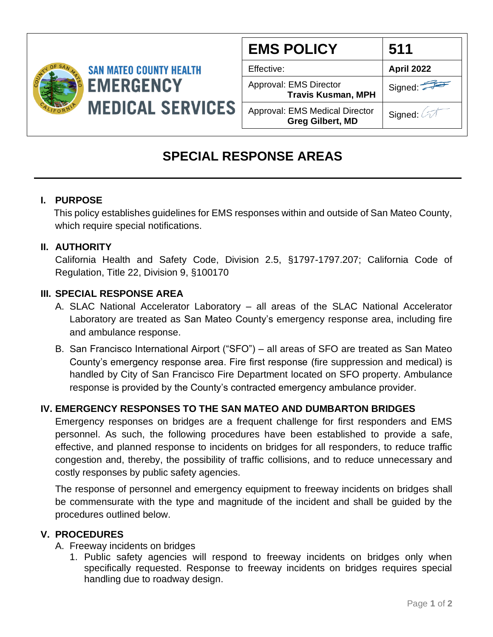

| <b>EMS POLICY</b>                                         | 511               |
|-----------------------------------------------------------|-------------------|
| Effective:                                                | <b>April 2022</b> |
| Approval: EMS Director<br><b>Travis Kusman, MPH</b>       | Signed:           |
| Approval: EMS Medical Director<br><b>Greg Gilbert, MD</b> | Signed:           |

# **SPECIAL RESPONSE AREAS**

#### **I. PURPOSE**

 This policy establishes guidelines for EMS responses within and outside of San Mateo County, which require special notifications.

## **II. AUTHORITY**

California Health and Safety Code, Division 2.5, §1797-1797.207; California Code of Regulation, Title 22, Division 9, §100170

## **III. SPECIAL RESPONSE AREA**

- A. SLAC National Accelerator Laboratory all areas of the SLAC National Accelerator Laboratory are treated as San Mateo County's emergency response area, including fire and ambulance response.
- B. San Francisco International Airport ("SFO") all areas of SFO are treated as San Mateo County's emergency response area. Fire first response (fire suppression and medical) is handled by City of San Francisco Fire Department located on SFO property. Ambulance response is provided by the County's contracted emergency ambulance provider.

# **IV. EMERGENCY RESPONSES TO THE SAN MATEO AND DUMBARTON BRIDGES**

Emergency responses on bridges are a frequent challenge for first responders and EMS personnel. As such, the following procedures have been established to provide a safe, effective, and planned response to incidents on bridges for all responders, to reduce traffic congestion and, thereby, the possibility of traffic collisions, and to reduce unnecessary and costly responses by public safety agencies.

The response of personnel and emergency equipment to freeway incidents on bridges shall be commensurate with the type and magnitude of the incident and shall be guided by the procedures outlined below.

#### **V. PROCEDURES**

A. Freeway incidents on bridges

1. Public safety agencies will respond to freeway incidents on bridges only when specifically requested. Response to freeway incidents on bridges requires special handling due to roadway design.